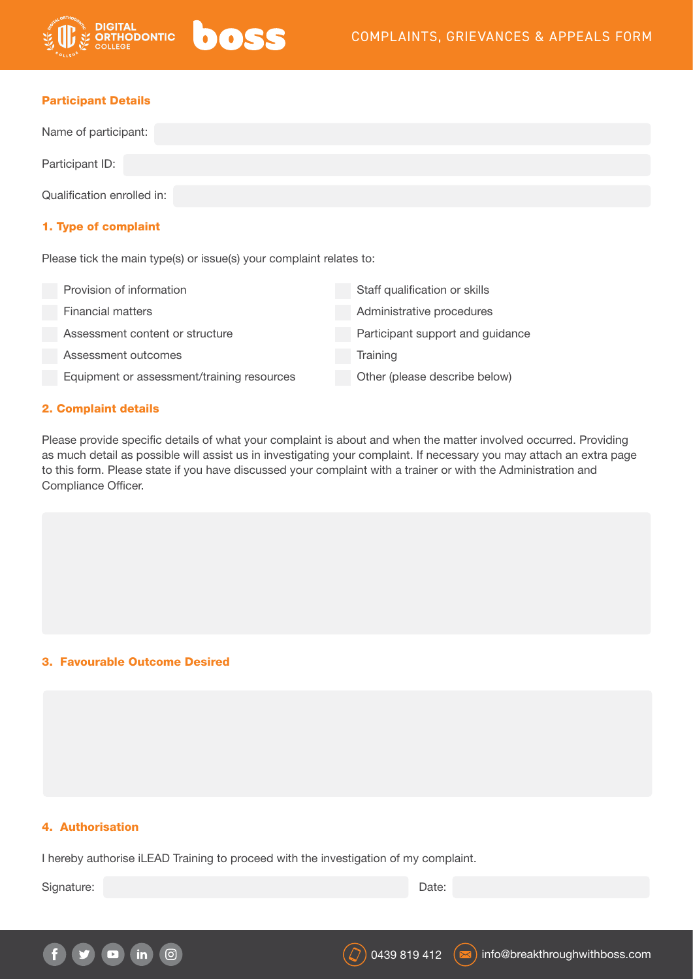

THODONTIC

| Name of participant:       |  |  |  |  |
|----------------------------|--|--|--|--|
| Participant ID:            |  |  |  |  |
| Qualification enrolled in: |  |  |  |  |
| 1. Type of complaint       |  |  |  |  |

Please tick the main type(s) or issue(s) your complaint relates to:

boss

| Provision of information                   | Staff qualification or skills    |
|--------------------------------------------|----------------------------------|
| <b>Financial matters</b>                   | Administrative procedures        |
| Assessment content or structure            | Participant support and guidance |
| Assessment outcomes                        | Training                         |
| Equipment or assessment/training resources | Other (please describe below)    |

## 2. Complaint details

Please provide specific details of what your complaint is about and when the matter involved occurred. Providing as much detail as possible will assist us in investigating your complaint. If necessary you may attach an extra page to this form. Please state if you have discussed your complaint with a trainer or with the Administration and Compliance Officer.

## 3. Favourable Outcome Desired

## 4. Authorisation

I hereby authorise iLEAD Training to proceed with the investigation of my complaint.

Signature: Date: Date: Date: Date: Date: Date: Date: Date: Date: Date: Date: Date: Date: Date: Date: Date: Date: Date: Date: Date: Date: Date: Date: Date: Date: Date: Date: Date: Date: Date: Date: Date: Date: Date: Date: D

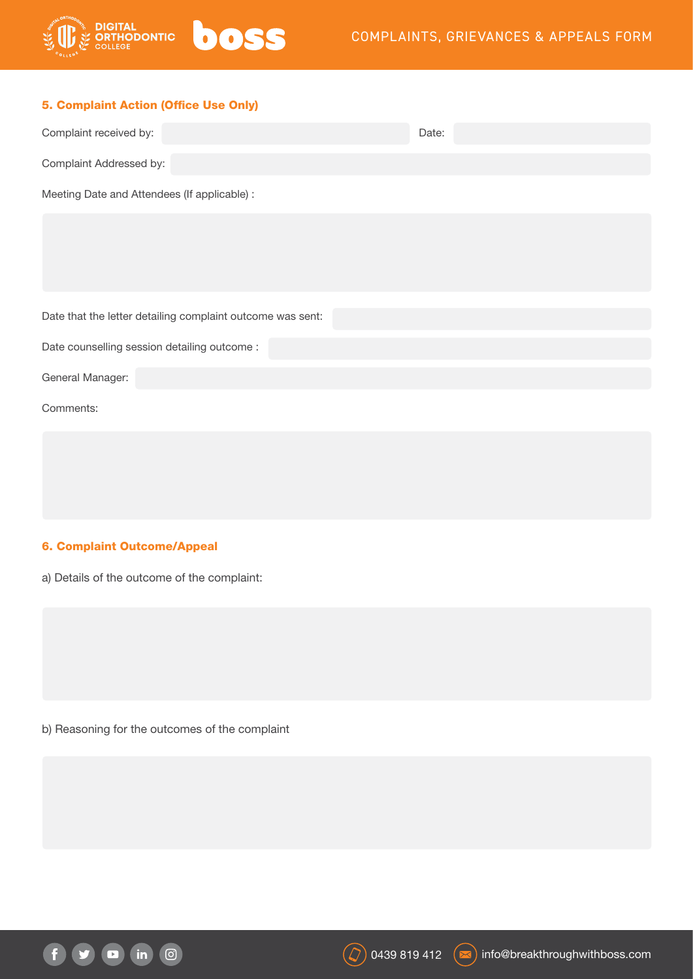

|  | 5. Complaint Action (Office Use Only) |  |  |
|--|---------------------------------------|--|--|
|  |                                       |  |  |

| Complaint received by:                       | Date: |  |  |  |
|----------------------------------------------|-------|--|--|--|
| Complaint Addressed by:                      |       |  |  |  |
| Meeting Date and Attendees (If applicable) : |       |  |  |  |

Date that the letter detailing complaint outcome was sent:

Date counselling session detailing outcome :

General Manager:

Comments:

## 6. Complaint Outcome/Appeal

a) Details of the outcome of the complaint:

b) Reasoning for the outcomes of the complaint